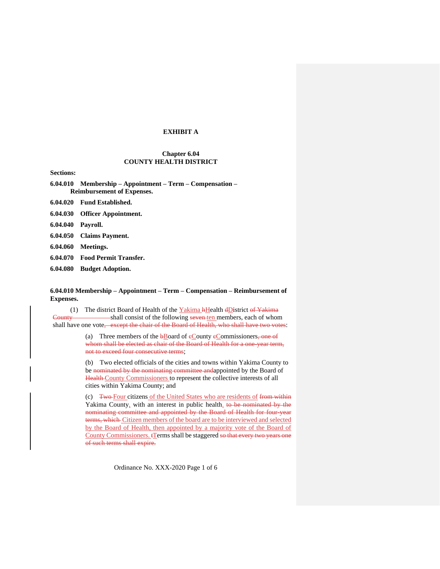## **EXHIBIT A**

# **Chapter 6.04 COUNTY HEALTH DISTRICT**

**Sections:**

**[6.04.010 Membership –](https://www.codepublishing.com/WA/YakimaCounty/#!/YakimaCounty06/YakimaCounty0604.html#6.04.010) Appointment – Term – Compensation – [Reimbursement of Expenses.](https://www.codepublishing.com/WA/YakimaCounty/#!/YakimaCounty06/YakimaCounty0604.html#6.04.010)**

- **[6.04.020 Fund Established.](https://www.codepublishing.com/WA/YakimaCounty/#!/YakimaCounty06/YakimaCounty0604.html#6.04.020)**
- **[6.04.030 Officer Appointment.](https://www.codepublishing.com/WA/YakimaCounty/#!/YakimaCounty06/YakimaCounty0604.html#6.04.030)**
- **[6.04.040 Payroll.](https://www.codepublishing.com/WA/YakimaCounty/#!/YakimaCounty06/YakimaCounty0604.html#6.04.040)**
- **[6.04.050 Claims Payment.](https://www.codepublishing.com/WA/YakimaCounty/#!/YakimaCounty06/YakimaCounty0604.html#6.04.050)**
- **[6.04.060 Meetings.](https://www.codepublishing.com/WA/YakimaCounty/#!/YakimaCounty06/YakimaCounty0604.html#6.04.060)**
- **[6.04.070 Food Permit Transfer.](https://www.codepublishing.com/WA/YakimaCounty/#!/YakimaCounty06/YakimaCounty0604.html#6.04.070)**
- **[6.04.080 Budget Adoption.](https://www.codepublishing.com/WA/YakimaCounty/#!/YakimaCounty06/YakimaCounty0604.html#6.04.080)**

## **6.04.010 Membership – Appointment – Term – Compensation – Reimbursement of Expenses.**

(1) The district Board of Health of the  $Yakima$  **hHealth dD**istrict of Yakima County shall consist of the following seven ten members, each of whom shall have one vote, except the chair of the Board of Health, who shall have two votes:

> (a) Three members of the  $b$ Board of eCounty eCommissioners, one of whom shall be elected as chair of the Board of Health for a one-year term, not to exceed four consecutive terms;

(b) Two elected officials of the cities and towns within Yakima County to be nominated by the nominating committee and appointed by the Board of Health County Commissioners to represent the collective interests of all cities within Yakima County; and

(c) Two-Four citizens of the United States who are residents of from within Yakima County, with an interest in public health, to be nominated by the nominating committee and appointed by the Board of Health for four-year terms, which Citizen members of the board are to be interviewed and selected by the Board of Health, then appointed by a majority vote of the Board of County Commissioners. **[Terms** shall be staggered so that every two years one of such terms shall expire.

Ordinance No. XXX-2020 Page 1 of 6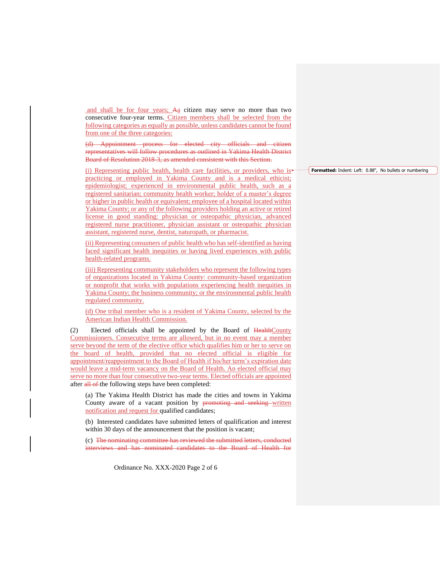and shall be for four years; Aa citizen may serve no more than two consecutive four-year terms. Citizen members shall be selected from the following categories as equally as possible, unless candidates cannot be found from one of the three categories:

(d) Appointment process for elected city officials and citizen representatives will follow procedures as outlined in Yakima Health District Board of Resolution 2018-3, as amended consistent with this Section.

(i) Representing public health, health care facilities, or providers, who is<sup>+</sup> practicing or employed in Yakima County and is a medical ethicist; epidemiologist; experienced in environmental public health, such as a registered sanitarian; community health worker; holder of a master's degree or higher in public health or equivalent; employee of a hospital located within Yakima County; or any of the following providers holding an active or retired license in good standing: physician or osteopathic physician, advanced registered nurse practitioner, physician assistant or osteopathic physician assistant, registered nurse, dentist, naturopath, or pharmacist.

(ii) Representing consumers of public health who has self-identified as having faced significant health inequities or having lived experiences with public health-related programs.

(iii) Representing community stakeholders who represent the following types of organizations located in Yakima County: community-based organization or nonprofit that works with populations experiencing health inequities in Yakima County; the business community; or the environmental public health regulated community.

(d) One tribal member who is a resident of Yakima County, selected by the American Indian Health Commission.

(2) Elected officials shall be appointed by the Board of HealthCounty Commissioners. Consecutive terms are allowed, but in no event may a member serve beyond the term of the elective office which qualifies him or her to serve on the board of health, provided that no elected official is eligible for appointment/reappointment to the Board of Health if his/her term's expiration date would leave a mid-term vacancy on the Board of Health. An elected official may serve no more than four consecutive two-year terms. Elected officials are appointed after all of the following steps have been completed:

(a) The Yakima Health District has made the cities and towns in Yakima County aware of a vacant position by promoting and seeking written notification and request for qualified candidates;

(b) Interested candidates have submitted letters of qualification and interest within 30 days of the announcement that the position is vacant;

(c) The nominating committee has reviewed the submitted letters, conducted interviews and has nominated candidates to the Board of Health for

Ordinance No. XXX-2020 Page 2 of 6

**Formatted:** Indent: Left: 0.88", No bullets or numbering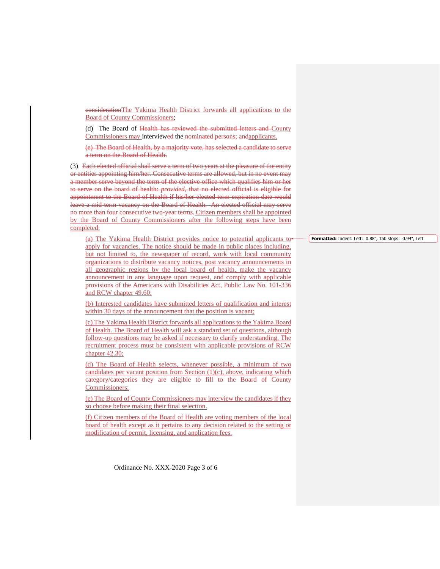considerationThe Yakima Health District forwards all applications to the Board of County Commissioners;

(d) The Board of Health has reviewed the submitted letters and County Commissioners may interviewed the nominated persons; andapplicants.

(e) The Board of Health, by a majority vote, has selected a candidate to serve a term on the Board of Health.

(3) Each elected official shall serve a term of two years at the pleasure of the entity or entities appointing him/her. Consecutive terms are allowed, but in no event may a member serve beyond the term of the elective office which qualifies him or her to serve on the board of health: *provided*, that no elected official is eligible for appointment to the Board of Health if his/her elected term expiration date would leave a mid-term vacancy on the Board of Health. An elected official may serve no more than four consecutive two-year terms. Citizen members shall be appointed by the Board of County Commissioners after the following steps have been completed:

(a) The Yakima Health District provides notice to potential applicants to apply for vacancies. The notice should be made in public places including, but not limited to, the newspaper of record, work with local community organizations to distribute vacancy notices, post vacancy announcements in all geographic regions by the local board of health, make the vacancy announcement in any language upon request, and comply with applicable provisions of the Americans with Disabilities Act, Public Law No. 101-336 and RCW chapter 49.60;

(b) Interested candidates have submitted letters of qualification and interest within 30 days of the announcement that the position is vacant;

(c) The Yakima Health District forwards all applications to the Yakima Board of Health. The Board of Health will ask a standard set of questions, although follow-up questions may be asked if necessary to clarify understanding. The recruitment process must be consistent with applicable provisions of RCW chapter 42.30;

(d) The Board of Health selects, whenever possible, a minimum of two candidates per vacant position from Section (1)(c), above, indicating which category/categories they are eligible to fill to the Board of County Commissioners;

(e) The Board of County Commissioners may interview the candidates if they so choose before making their final selection.

(f) Citizen members of the Board of Health are voting members of the local board of health except as it pertains to any decision related to the setting or modification of permit, licensing, and application fees.

Ordinance No. XXX-2020 Page 3 of 6

**Formatted:** Indent: Left: 0.88", Tab stops: 0.94", Left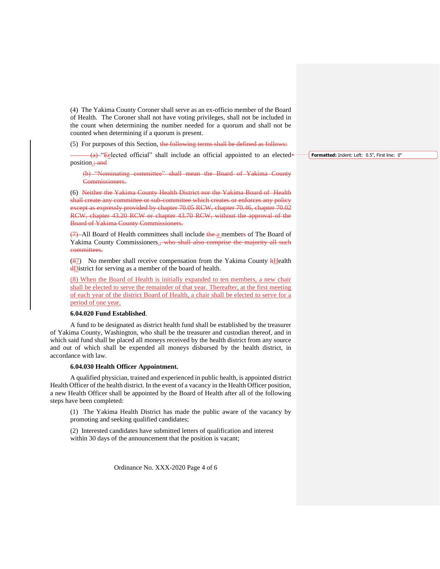(4) The Yakima County Coroner shall serve as an ex-officio member of the Board of Health. The Coroner shall not have voting privileges, shall not be included in the count when determining the number needed for a quorum and shall not be counted when determining if a quorum is present.

(5) For purposes of this Section, the following terms shall be defined as follows:

 $(a)$  "Eelected official" shall include an official appointed to an elected position<sub>; and</sub>

(b) "Nominating committee" shall mean the Board of Yakima County Commissioners.

(6) Neither the Yakima County Health District nor the Yakima Board of Health shall create any committee or sub-committee which creates or enforces any policy except as expressly provided by chapter 70.05 RCW, chapter 70.46, chapter 70.02 RCW, chapter 43.20 RCW or chapter 43.70 RCW, without the approval of the Board of Yakima County Commissioners.

(7) All Board of Health committees shall include the a members of The Board of Yakima County Commissioners.<del>, who shall also comprise the majority all such</del> committees.

 $(87)$  No member shall receive compensation from the Yakima County  $HHe$ alth dDistrict for serving as a member of the board of health.

(8) When the Board of Health is initially expanded to ten members, a new chair shall be elected to serve the remainder of that year. Thereafter, at the first meeting of each year of the district Board of Health, a chair shall be elected to serve for a period of one year.

#### **6.04.020 Fund Established**.

A fund to be designated as district health fund shall be established by the treasurer of Yakima County, Washington, who shall be the treasurer and custodian thereof, and in which said fund shall be placed all moneys received by the health district from any source and out of which shall be expended all moneys disbursed by the health district, in accordance with law.

#### **6.04.030 Health Officer Appointment.**

A qualified physician, trained and experienced in public health, is appointed district Health Officer of the health district. In the event of a vacancy in the Health Officer position, a new Health Officer shall be appointed by the Board of Health after all of the following steps have been completed:

(1) The Yakima Health District has made the public aware of the vacancy by promoting and seeking qualified candidates;

(2) Interested candidates have submitted letters of qualification and interest within 30 days of the announcement that the position is vacant;

Ordinance No. XXX-2020 Page 4 of 6

**Formatted:** Indent: Left: 0.5", First line: 0"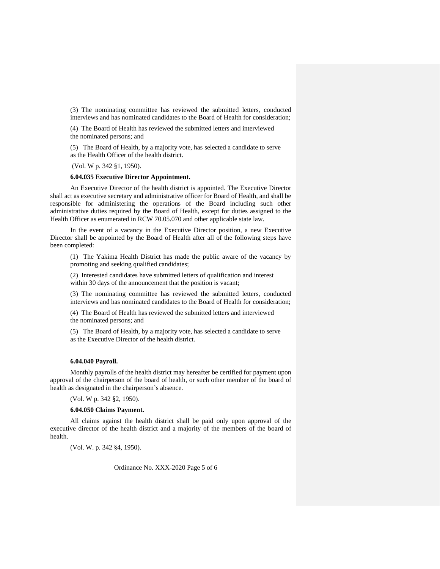(3) The nominating committee has reviewed the submitted letters, conducted interviews and has nominated candidates to the Board of Health for consideration;

(4) The Board of Health has reviewed the submitted letters and interviewed the nominated persons; and

(5) The Board of Health, by a majority vote, has selected a candidate to serve as the Health Officer of the health district.

(Vol. W p. 342 §1, 1950).

# **6.04.035 Executive Director Appointment.**

An Executive Director of the health district is appointed. The Executive Director shall act as executive secretary and administrative officer for Board of Health, and shall be responsible for administering the operations of the Board including such other administrative duties required by the Board of Health, except for duties assigned to the Health Officer as enumerated in RCW 70.05.070 and other applicable state law.

In the event of a vacancy in the Executive Director position, a new Executive Director shall be appointed by the Board of Health after all of the following steps have been completed:

(1) The Yakima Health District has made the public aware of the vacancy by promoting and seeking qualified candidates;

(2) Interested candidates have submitted letters of qualification and interest within 30 days of the announcement that the position is vacant;

(3) The nominating committee has reviewed the submitted letters, conducted interviews and has nominated candidates to the Board of Health for consideration;

(4) The Board of Health has reviewed the submitted letters and interviewed the nominated persons; and

(5) The Board of Health, by a majority vote, has selected a candidate to serve as the Executive Director of the health district.

## **6.04.040 Payroll.**

Monthly payrolls of the health district may hereafter be certified for payment upon approval of the chairperson of the board of health, or such other member of the board of health as designated in the chairperson's absence.

(Vol. W p. 342 §2, 1950).

#### **6.04.050 Claims Payment.**

All claims against the health district shall be paid only upon approval of the executive director of the health district and a majority of the members of the board of health.

(Vol. W. p. 342 §4, 1950).

Ordinance No. XXX-2020 Page 5 of 6